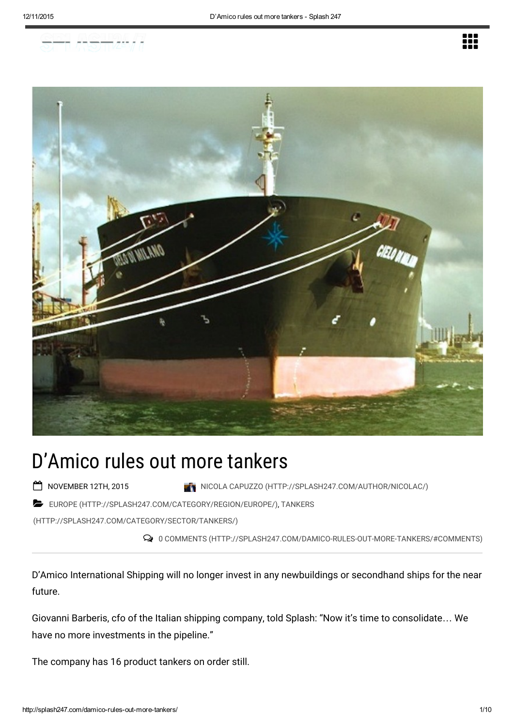



# D'Amico rules out more tankers

- 
- NOVEMBER 12TH, 2015 **NICOLA CAPUZZO [\(HTTP://SPLASH247.COM/AUTHOR/NICOLAC/\)](http://splash247.com/author/nicolac/)**
- EUROPE [\(HTTP://SPLASH247.COM/CATEGORY/REGION/EUROPE/\)](http://splash247.com/category/region/europe/), TANKERS

[\(HTTP://SPLASH247.COM/CATEGORY/SECTOR/TANKERS/\)](http://splash247.com/category/sector/tankers/)

0 COMMENTS (HTTP://SPLASH247.COM/DAMICO-RULES-OUT-MORE-TANKERS/#COMMENTS)

D'Amico International Shipping will no longer invest in any newbuildings or secondhand ships for the near future.

Giovanni Barberis, cfo of the Italian shipping company, told Splash: "Now it's time to consolidate… We have no more investments in the pipeline."

The company has 16 product tankers on order still.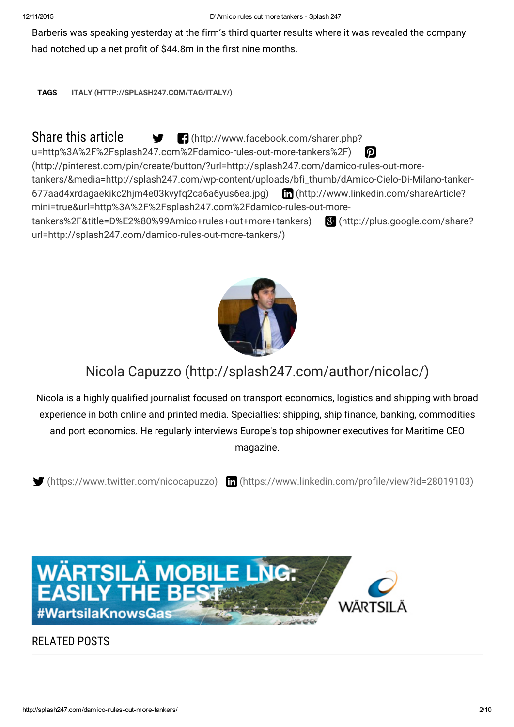Barberis was speaking yesterday at the firm's third quarter results where it was revealed the company had notched up a net profit of \$44.8m in the first nine months.

TAGS ITALY [\(HTTP://SPLASH247.COM/TAG/ITALY/\)](http://splash247.com/tag/italy/)

Share this article  $\bullet$  **C** (http://www.facebook.com/sharer.php?

[u=http%3A%2F%2Fsplash247.com%2Fdamico-rules-out-more-tankers%2F\)](http://www.facebook.com/sharer.php?u=http%3A%2F%2Fsplash247.com%2Fdamico-rules-out-more-tankers%2F)

(http://pinterest.com/pin/create/button/?url=http://splash247.com/damico-rules-out-more-

[tankers/&media=http://splash247.com/wp-content/uploads/bfi\\_thumb/dAmico-Cielo-Di-Milano-tanker-](http://pinterest.com/pin/create/button/?url=http://splash247.com/damico-rules-out-more-tankers/&media=http://splash247.com/wp-content/uploads/bfi_thumb/dAmico-Cielo-Di-Milano-tanker-677aad4xrdagaekikc2hjm4e03kvyfq2ca6a6yus6ea.jpg)677aad4xrdagaekikc2hjm4e03kvyfq2ca6a6yus6ea.jpg) (http://www.linkedin.com/shareArticle? [mini=true&url=http%3A%2F%2Fsplash247.com%2Fdamico-rules-out-more-](http://www.linkedin.com/shareArticle?mini=true&url=http%3A%2F%2Fsplash247.com%2Fdamico-rules-out-more-tankers%2F&title=D%E2%80%99Amico+rules+out+more+tankers)

[tankers%2F&title=D%E2%80%99Amico+rules+out+more+tankers\)](http://plus.google.com/share?url=http://splash247.com/damico-rules-out-more-tankers/) (http://plus.google.com/share? url=http://splash247.com/damico-rules-out-more-tankers/)



# Nicola Capuzzo [\(http://splash247.com/author/nicolac/\)](http://splash247.com/author/nicolac/)

Nicola is a highly qualified journalist focused on transport economics, logistics and shipping with broad experience in both online and printed media. Specialties: shipping, ship finance, banking, commodities and port economics. He regularly interviews Europe's top shipowner executives for Maritime CEO magazine.

 $\blacktriangleright$  [\(https://www.twitter.com/nicocapuzzo\)](https://www.twitter.com/nicocapuzzo)  $\blacksquare$  [\(https://www.linkedin.com/profile/view?id=28019103\)](https://www.linkedin.com/profile/view?id=28019103)



RELATED POSTS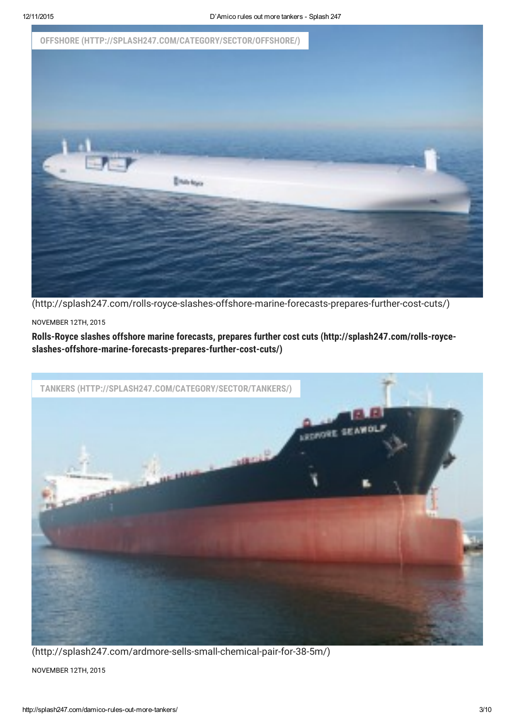

(http://splash247.com/rolls-royce-slashes-offshore-marine-forecasts-prepares-further-cost-cuts/)

#### NOVEMBER 12TH, 2015

Rolls-Royce slashes offshore marine forecasts, prepares further cost cuts (http://splash247.com/rolls-royce[slashes-offshore-marine-forecasts-prepares-further-cost-cuts/\)](http://splash247.com/rolls-royce-slashes-offshore-marine-forecasts-prepares-further-cost-cuts/)



NOVEMBER 12TH, 2015 (http://splash247.com/ardmore-sells-small-chemical-pair-for-38-5m/)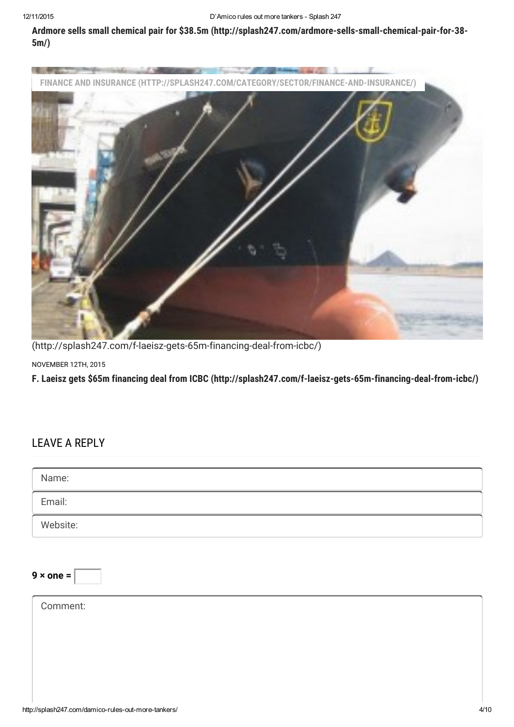Ardmore sells small chemical pair for \$38.5m [\(http://splash247.com/ardmore-sells-small-chemical-pair-for-38-](http://splash247.com/ardmore-sells-small-chemical-pair-for-38-5m/) 5m/)



(http://splash247.com/f-laeisz-gets-65m-financing-deal-from-icbc/)

NOVEMBER 12TH, 2015

F. Laeisz gets \$65m financing deal from ICBC [\(http://splash247.com/f-laeisz-gets-65m-financing-deal-from-icbc/\)](http://splash247.com/f-laeisz-gets-65m-financing-deal-from-icbc/)

# LEAVE A REPLY

| Name:            |  |  |
|------------------|--|--|
| Email:           |  |  |
| Website:         |  |  |
|                  |  |  |
| $9 \times$ one = |  |  |
| Comment:         |  |  |
|                  |  |  |
|                  |  |  |
|                  |  |  |
|                  |  |  |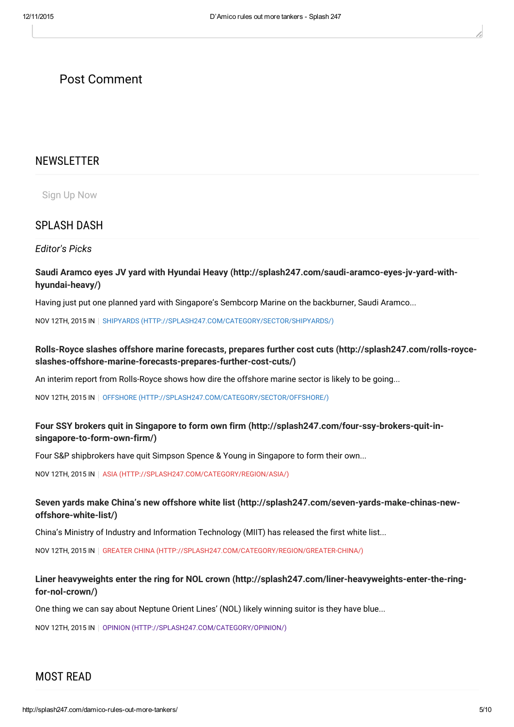# Post Comment

#### NEWSLETTER

Sign Up Now

### SPLASH DASH

Editor's Picks

#### Saudi Aramco eyes JV yard with Hyundai Heavy [\(http://splash247.com/saudi-aramco-eyes-jv-yard-with](http://splash247.com/saudi-aramco-eyes-jv-yard-with-hyundai-heavy/)hyundai-heavy/)

Having just put one planned yard with Singapore's Sembcorp Marine on the backburner, Saudi Aramco...

NOV 12TH, 2015 IN | SHIPYARDS [\(HTTP://SPLASH247.COM/CATEGORY/SECTOR/SHIPYARDS/\)](http://splash247.com/category/sector/shipyards/)

#### Rolls-Royce slashes offshore marine forecasts, prepares further cost cuts (http://splash247.com/rolls-royce[slashes-offshore-marine-forecasts-prepares-further-cost-cuts/\)](http://splash247.com/rolls-royce-slashes-offshore-marine-forecasts-prepares-further-cost-cuts/)

An interim report from Rolls-Royce shows how dire the offshore marine sector is likely to be going...

NOV 12TH, 2015 IN | OFFSHORE [\(HTTP://SPLASH247.COM/CATEGORY/SECTOR/OFFSHORE/\)](http://splash247.com/category/sector/offshore/)

#### Four SSY brokers quit in Singapore to form own firm [\(http://splash247.com/four-ssy-brokers-quit-in](http://splash247.com/four-ssy-brokers-quit-in-singapore-to-form-own-firm/)singapore-to-form-own-firm/)

Four S&P shipbrokers have quit Simpson Spence & Young in Singapore to form their own...

NOV 12TH, 2015 IN | ASIA [\(HTTP://SPLASH247.COM/CATEGORY/REGION/ASIA/\)](http://splash247.com/category/region/asia/)

#### Seven yards make China's new offshore white list [\(http://splash247.com/seven-yards-make-chinas-new](http://splash247.com/seven-yards-make-chinas-new-offshore-white-list/)offshore-white-list/)

China's Ministry of Industry and Information Technology (MIIT) has released the first white list...

NOV 12TH, 2015 IN GREATER CHINA [\(HTTP://SPLASH247.COM/CATEGORY/REGION/GREATER-CHINA/\)](http://splash247.com/category/region/greater-china/)

#### Liner heavyweights enter the ring for NOL crown [\(http://splash247.com/liner-heavyweights-enter-the-ring](http://splash247.com/liner-heavyweights-enter-the-ring-for-nol-crown/)for-nol-crown/)

One thing we can say about Neptune Orient Lines' (NOL) likely winning suitor is they have blue...

NOV 12TH, 2015 IN | OPINION [\(HTTP://SPLASH247.COM/CATEGORY/OPINION/\)](http://splash247.com/category/opinion/)

# MOST READ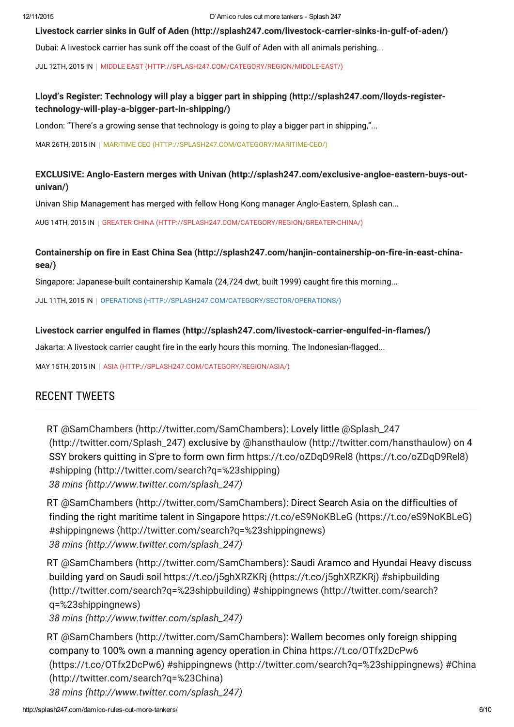Livestock carrier sinks in Gulf of Aden [\(http://splash247.com/livestock-carrier-sinks-in-gulf-of-aden/\)](http://splash247.com/livestock-carrier-sinks-in-gulf-of-aden/)

Dubai: A livestock carrier has sunk off the coast of the Gulf of Aden with all animals perishing...

JUL 12TH, 2015 IN | MIDDLE EAST [\(HTTP://SPLASH247.COM/CATEGORY/REGION/MIDDLE-EAST/\)](http://splash247.com/category/region/middle-east/)

#### Lloyd's Register: Technology will play a bigger part in shipping (http://splash247.com/lloyds-register[technology-will-play-a-bigger-part-in-shipping/\)](http://splash247.com/lloyds-register-technology-will-play-a-bigger-part-in-shipping/)

London: "There's a growing sense that technology is going to play a bigger part in shipping,"...

MAR 26TH, 2015 IN | MARITIME CEO [\(HTTP://SPLASH247.COM/CATEGORY/MARITIME-CEO/\)](http://splash247.com/category/maritime-ceo/)

#### EXCLUSIVE: Anglo-Eastern merges with Univan [\(http://splash247.com/exclusive-angloe-eastern-buys-out](http://splash247.com/exclusive-angloe-eastern-buys-out-univan/)univan/)

Univan Ship Management has merged with fellow Hong Kong manager Anglo-Eastern, Splash can...

AUG 14TH, 2015 IN GREATER CHINA [\(HTTP://SPLASH247.COM/CATEGORY/REGION/GREATER-CHINA/\)](http://splash247.com/category/region/greater-china/)

#### Containership on fire in East China Sea [\(http://splash247.com/hanjin-containership-on-fire-in-east-china](http://splash247.com/hanjin-containership-on-fire-in-east-china-sea/)sea/)

Singapore: Japanese-built containership Kamala (24,724 dwt, built 1999) caught fire this morning...

JUL 11TH, 2015 IN | OPERATIONS [\(HTTP://SPLASH247.COM/CATEGORY/SECTOR/OPERATIONS/\)](http://splash247.com/category/sector/operations/)

#### Livestock carrier engulfed in flames [\(http://splash247.com/livestock-carrier-engulfed-in-flames/\)](http://splash247.com/livestock-carrier-engulfed-in-flames/)

Jakarta: A livestock carrier caught fire in the early hours this morning. The Indonesian-flagged...

MAY 15TH, 2015 IN | ASIA [\(HTTP://SPLASH247.COM/CATEGORY/REGION/ASIA/\)](http://splash247.com/category/region/asia/)

# RECENT TWEETS

RT @SamChambers [\(http://twitter.com/SamChambers\)](http://twitter.com/SamChambers)[:](http://twitter.com/Splash_247) Lovely little @Splash\_247 (http://twitter.com/Splash\_247) exclusive by @hansthaulow [\(http://twitter.com/hansthaulow\)](http://twitter.com/hansthaulow) on 4 SSY brokers quitting in S'pre to form own firm https://t.co/oZDqD9Rel8 [\(https://t.co/oZDqD9Rel8\)](https://t.co/oZDqD9Rel8) #shipping [\(http://twitter.com/search?q=%23shipping\)](http://twitter.com/search?q=%23shipping) 38 mins [\(http://www.twitter.com/splash\\_247\)](http://www.twitter.com/splash_247)

RT @SamChambers [\(http://twitter.com/SamChambers\):](http://twitter.com/SamChambers) Direct Search Asia on the difficulties of finding the right maritime talent in Singapore https://t.co/eS9NoKBLeG [\(https://t.co/eS9NoKBLeG\)](https://t.co/eS9NoKBLeG) #shippingnews [\(http://twitter.com/search?q=%23shippingnews\)](http://twitter.com/search?q=%23shippingnews) 38 mins [\(http://www.twitter.com/splash\\_247\)](http://www.twitter.com/splash_247)

RT @SamChambers [\(http://twitter.com/SamChambers\):](http://twitter.com/SamChambers) Saudi Aramco and Hyundai Heavy discuss building yard on Saudi soil https://t.co/j5ghXRZKRj [\(https://t.co/j5ghXRZKRj\)](https://t.co/j5ghXRZKRj) #shipbuilding [\(http://twitter.com/search?q=%23shipbuilding\)](http://twitter.com/search?q=%23shipbuilding) #shippingnews (http://twitter.com/search? q=%23shippingnews)

38 mins [\(http://www.twitter.com/splash\\_247\)](http://www.twitter.com/splash_247)

RT @SamChambers [\(http://twitter.com/SamChambers\):](http://twitter.com/SamChambers) Wallem becomes only foreign shipping company to 100% own a manning agency operation in China https://t.co/OTfx2DcPw6 (https://t.co/OTfx2DcPw6) #shippingnews [\(http://twitter.com/search?q=%23shipping](https://t.co/OTfx2DcPw6)[news](http://twitter.com/search?q=%23shippingnews)[\)](http://twitter.com/search?q=%23China) #China (http://twitter.com/search?q=%23China) 38 mins [\(http://www.twitter.com/splash\\_247\)](http://www.twitter.com/splash_247)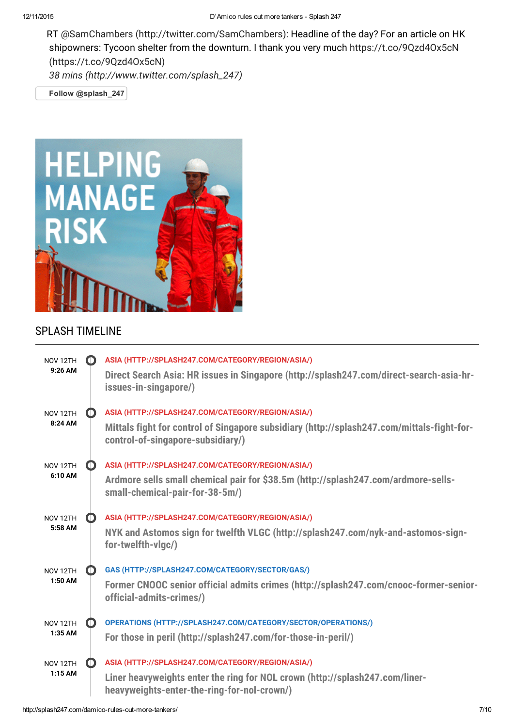RT @SamChambers [\(http://twitter.com/SamChambers\):](http://twitter.com/SamChambers) Headline of the day? For an article on HK shipowners: Tycoon shelter from the downturn. I thank you very much https://t.co/9Qzd4Ox5cN [\(https://t.co/9Qzd4Ox5cN\)](https://t.co/9Qzd4Ox5cN)

38 mins [\(http://www.twitter.com/splash\\_247\)](http://www.twitter.com/splash_247)

Follow [@splash\\_247](https://twitter.com/intent/follow?original_referer=http%3A%2F%2Fsplash247.com%2Fdamico-rules-out-more-tankers%2F&ref_src=twsrc%5Etfw®ion=follow_link&screen_name=splash_247&tw_p=followbutton)



# SPLASH TIMELINE

| NOV <sub>12TH</sub><br>$9:26$ AM | O | ASIA (HTTP://SPLASH247.COM/CATEGORY/REGION/ASIA/)<br>Direct Search Asia: HR issues in Singapore (http://splash247.com/direct-search-asia-hr-<br>issues-in-singapore/)                |
|----------------------------------|---|--------------------------------------------------------------------------------------------------------------------------------------------------------------------------------------|
| NOV <sub>12TH</sub><br>8:24 AM   | O | ASIA (HTTP://SPLASH247.COM/CATEGORY/REGION/ASIA/)<br>Mittals fight for control of Singapore subsidiary (http://splash247.com/mittals-fight-for-<br>control-of-singapore-subsidiary/) |
| NOV <sub>12TH</sub><br>6:10 AM   |   | ASIA (HTTP://SPLASH247.COM/CATEGORY/REGION/ASIA/)<br>Ardmore sells small chemical pair for \$38.5m (http://splash247.com/ardmore-sells-<br>small-chemical-pair-for-38-5m/)           |
| NOV <sub>12TH</sub><br>5:58 AM   |   | ASIA (HTTP://SPLASH247.COM/CATEGORY/REGION/ASIA/)<br>NYK and Astomos sign for twelfth VLGC (http://splash247.com/nyk-and-astomos-sign-<br>for-twelfth-vigc/)                         |
| NOV <sub>12TH</sub><br>$1:50$ AM |   | GAS (HTTP://SPLASH247.COM/CATEGORY/SECTOR/GAS/)<br>Former CNOOC senior official admits crimes (http://splash247.com/cnooc-former-senior-<br>official-admits-crimes/)                 |
| NOV <sub>12TH</sub><br>1:35 AM   |   | OPERATIONS (HTTP://SPLASH247.COM/CATEGORY/SECTOR/OPERATIONS/)<br>For those in peril (http://splash247.com/for-those-in-peril/)                                                       |
| NOV <sub>12TH</sub><br>$1:15$ AM | O | ASIA (HTTP://SPLASH247.COM/CATEGORY/REGION/ASIA/)<br>Liner heavyweights enter the ring for NOL crown (http://splash247.com/liner-<br>heavyweights-enter-the-ring-for-nol-crown/)     |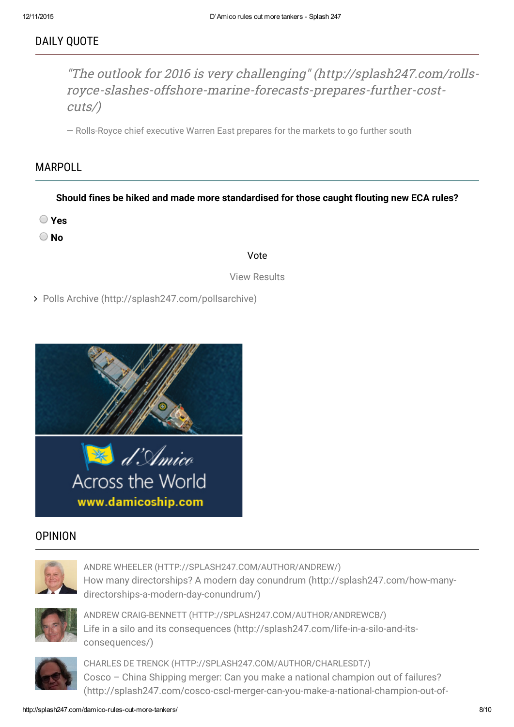# DAILY QUOTE

"The outlook for 2016 is very challenging" (http://splash247.com/rolls[royce-slashes-offshore-marine-forecasts-prepares-further-cost](http://splash247.com/rolls-royce-slashes-offshore-marine-forecasts-prepares-further-cost-cuts/)cuts/)

— Rolls-Royce chief executive Warren East prepares for the markets to go further south

# MARPOLL

Should fines be hiked and made more standardised for those caught flouting new ECA rules?

- Yes
- O No

#### Vote

View Results

Polls Archive [\(http://splash247.com/pollsarchive\)](http://splash247.com/pollsarchive)



# OPINION



ANDRE WHEELER [\(HTTP://SPLASH247.COM/AUTHOR/ANDREW/\)](http://splash247.com/author/andrew/) How many directorships? A modern day conundrum (http://splash247.com/how-many[directorships-a-modern-day-conundrum/\)](http://splash247.com/how-many-directorships-a-modern-day-conundrum/)



ANDREW CRAIG-BENNETT [\(HTTP://SPLASH247.COM/AUTHOR/ANDREWCB/\)](http://splash247.com/author/andrewcb/) Life in a silo and its consequences [\(http://splash247.com/life-in-a-silo-and-its](http://splash247.com/life-in-a-silo-and-its-consequences/)consequences/)



CHARLES DE TRENCK [\(HTTP://SPLASH247.COM/AUTHOR/CHARLESDT/\)](http://splash247.com/author/charlesdt/) Cosco – China Shipping merger: Can you make a national champion out of failures? [\(http://splash247.com/cosco-cscl-merger-can-you-make-a-national-champion-out-of-](http://splash247.com/cosco-cscl-merger-can-you-make-a-national-champion-out-of-failures/)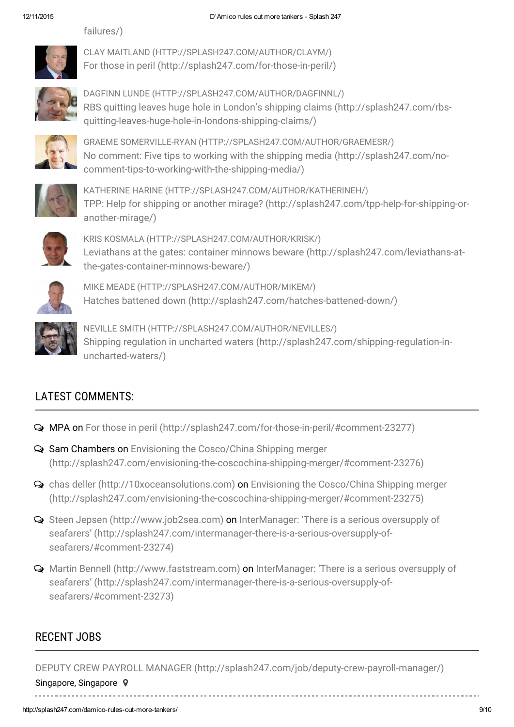

[failures/\)](http://splash247.com/cosco-cscl-merger-can-you-make-a-national-champion-out-of-failures/)

CLAY MAITLAND [\(HTTP://SPLASH247.COM/AUTHOR/CLAYM/\)](http://splash247.com/author/claym/) For those in peril [\(http://splash247.com/for-those-in-peril/\)](http://splash247.com/for-those-in-peril/)



DAGFINN LUNDE [\(HTTP://SPLASH247.COM/AUTHOR/DAGFINNL/\)](http://splash247.com/author/dagfinnl/) RBS quitting leaves huge hole in London's shipping claims (http://splash247.com/rbs[quitting-leaves-huge-hole-in-londons-shipping-claims/\)](http://splash247.com/rbs-quitting-leaves-huge-hole-in-londons-shipping-claims/)



GRAEME SOMERVILLE-RYAN [\(HTTP://SPLASH247.COM/AUTHOR/GRAEMESR/\)](http://splash247.com/author/graemesr/) No comment: Five tips to working with the shipping media (http://splash247.com/no[comment-tips-to-working-with-the-shipping-media/\)](http://splash247.com/no-comment-tips-to-working-with-the-shipping-media/)



KATHERINE HARINE [\(HTTP://SPLASH247.COM/AUTHOR/KATHERINEH/\)](http://splash247.com/author/katherineh/) TPP: Help for shipping or another mirage? [\(http://splash247.com/tpp-help-for-shipping-or](http://splash247.com/tpp-help-for-shipping-or-another-mirage/)another-mirage/)



KRIS KOSMALA [\(HTTP://SPLASH247.COM/AUTHOR/KRISK/\)](http://splash247.com/author/krisk/) Leviathans at the gates: container minnows beware (http://splash247.com/leviathans-at[the-gates-container-minnows-beware/\)](http://splash247.com/leviathans-at-the-gates-container-minnows-beware/)



MIKE MEADE [\(HTTP://SPLASH247.COM/AUTHOR/MIKEM/\)](http://splash247.com/author/mikem/) Hatches battened down [\(http://splash247.com/hatches-battened-down/\)](http://splash247.com/hatches-battened-down/)



NEVILLE SMITH [\(HTTP://SPLASH247.COM/AUTHOR/NEVILLES/\)](http://splash247.com/author/nevilles/) Shipping regulation in uncharted waters [\(http://splash247.com/shipping-regulation-in](http://splash247.com/shipping-regulation-in-uncharted-waters/)uncharted-waters/)

# LATEST COMMENTS:

- MPA on For those in peril [\(http://splash247.com/for-those-in-peril/#comment-23277\)](http://splash247.com/for-those-in-peril/#comment-23277)
- Sam Chambers on Envisioning the Cosco/China Shipping merger [\(http://splash247.com/envisioning-the-coscochina-shipping-merger/#comment-23276\)](http://splash247.com/envisioning-the-coscochina-shipping-merger/#comment-23276)
- chas deller [\(http://10xoceansolutions.com\)](http://10xoceansolutions.com/) on Envisioning the Cosco/China Shipping merger [\(http://splash247.com/envisioning-the-coscochina-shipping-merger/#comment-23275\)](http://splash247.com/envisioning-the-coscochina-shipping-merger/#comment-23275)
- Steen Jepsen [\(http://www.job2sea.com\)](http://www.job2sea.com/) on InterManager: 'There is a serious oversupply of seafarers' [\(http://splash247.com/intermanager-there-is-a-serious-oversupply-of](http://splash247.com/intermanager-there-is-a-serious-oversupply-of-seafarers/#comment-23274)seafarers/#comment-23274)
- Martin Bennell [\(http://www.faststream.com\)](http://www.faststream.com/) on InterManager: 'There is a serious oversupply of seafarers' [\(http://splash247.com/intermanager-there-is-a-serious-oversupply-of](http://splash247.com/intermanager-there-is-a-serious-oversupply-of-seafarers/#comment-23273)seafarers/#comment-23273)

# RECENT JOBS

DEPUTY CREW PAYROLL MANAGER [\(http://splash247.com/job/deputy-crew-payroll-manager/\)](http://splash247.com/job/deputy-crew-payroll-manager/)

Singapore, Singapore 9 <u>. . . . . . . . . . . . . .</u>